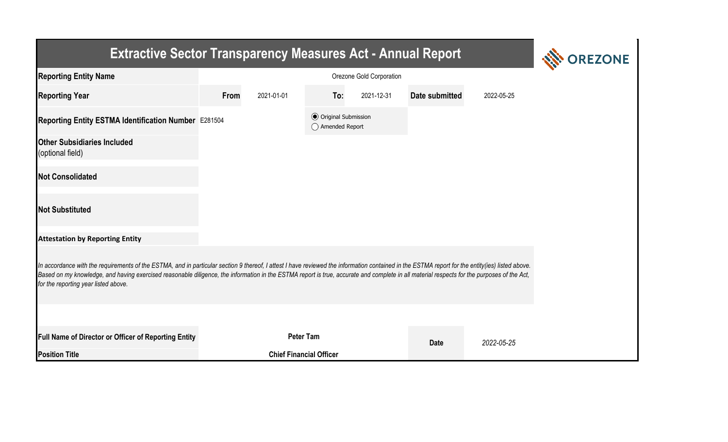| <b>Extractive Sector Transparency Measures Act - Annual Report</b>                                                                                                                                                                                                                                                                                                                                                                    | <b>REZONE</b> |                                |                                                  |            |                |            |  |  |  |  |
|---------------------------------------------------------------------------------------------------------------------------------------------------------------------------------------------------------------------------------------------------------------------------------------------------------------------------------------------------------------------------------------------------------------------------------------|---------------|--------------------------------|--------------------------------------------------|------------|----------------|------------|--|--|--|--|
| <b>Reporting Entity Name</b>                                                                                                                                                                                                                                                                                                                                                                                                          |               |                                |                                                  |            |                |            |  |  |  |  |
| <b>Reporting Year</b>                                                                                                                                                                                                                                                                                                                                                                                                                 | From          | 2021-01-01                     | To:                                              | 2021-12-31 | Date submitted | 2022-05-25 |  |  |  |  |
| Reporting Entity ESTMA Identification Number E281504                                                                                                                                                                                                                                                                                                                                                                                  |               |                                | <b>⊙</b> Original Submission<br>◯ Amended Report |            |                |            |  |  |  |  |
| <b>Other Subsidiaries Included</b><br>(optional field)                                                                                                                                                                                                                                                                                                                                                                                |               |                                |                                                  |            |                |            |  |  |  |  |
| <b>Not Consolidated</b>                                                                                                                                                                                                                                                                                                                                                                                                               |               |                                |                                                  |            |                |            |  |  |  |  |
| <b>Not Substituted</b>                                                                                                                                                                                                                                                                                                                                                                                                                |               |                                |                                                  |            |                |            |  |  |  |  |
| <b>Attestation by Reporting Entity</b>                                                                                                                                                                                                                                                                                                                                                                                                |               |                                |                                                  |            |                |            |  |  |  |  |
| In accordance with the requirements of the ESTMA, and in particular section 9 thereof, I attest I have reviewed the information contained in the ESTMA report for the entity(ies) listed above.<br>Based on my knowledge, and having exercised reasonable diligence, the information in the ESTMA report is true, accurate and complete in all material respects for the purposes of the Act,<br>for the reporting year listed above. |               |                                |                                                  |            |                |            |  |  |  |  |
|                                                                                                                                                                                                                                                                                                                                                                                                                                       |               |                                |                                                  |            |                |            |  |  |  |  |
| <b>Full Name of Director or Officer of Reporting Entity</b>                                                                                                                                                                                                                                                                                                                                                                           |               | <b>Peter Tam</b>               |                                                  |            | <b>Date</b>    | 2022-05-25 |  |  |  |  |
| <b>Position Title</b>                                                                                                                                                                                                                                                                                                                                                                                                                 |               | <b>Chief Financial Officer</b> |                                                  |            |                |            |  |  |  |  |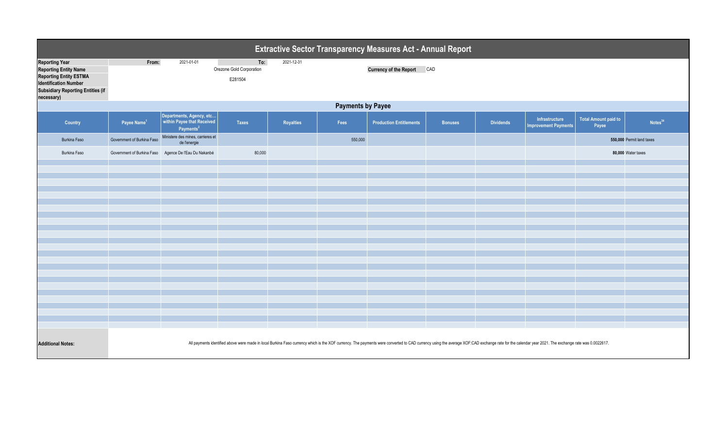|                                                                                                                                                                                  | <b>Extractive Sector Transparency Measures Act - Annual Report</b>                                                                                                                                                             |                                                                                 |                                            |            |         |                                |                |                  |                                               |                                      |                           |
|----------------------------------------------------------------------------------------------------------------------------------------------------------------------------------|--------------------------------------------------------------------------------------------------------------------------------------------------------------------------------------------------------------------------------|---------------------------------------------------------------------------------|--------------------------------------------|------------|---------|--------------------------------|----------------|------------------|-----------------------------------------------|--------------------------------------|---------------------------|
| <b>Reporting Year</b><br><b>Reporting Entity Name</b><br><b>Reporting Entity ESTMA</b><br><b>Identification Number</b><br><b>Subsidiary Reporting Entities (if</b><br>necessary) | From:                                                                                                                                                                                                                          | 2021-01-01                                                                      | To:<br>Orezone Gold Corporation<br>E281504 | 2021-12-31 |         | <b>Currency of the Report</b>  | CAD            |                  |                                               |                                      |                           |
|                                                                                                                                                                                  | <b>Payments by Payee</b>                                                                                                                                                                                                       |                                                                                 |                                            |            |         |                                |                |                  |                                               |                                      |                           |
| Country                                                                                                                                                                          | Payee Name <sup>1</sup>                                                                                                                                                                                                        | Departments, Agency, etc<br>within Payee that Received<br>Payments <sup>2</sup> | <b>Taxes</b>                               | Royalties  | Fees    | <b>Production Entitlements</b> | <b>Bonuses</b> | <b>Dividends</b> | Infrastructure<br><b>Improvement Payments</b> | <b>Total Amount paid to</b><br>Payee | Notes <sup>34</sup>       |
| <b>Burkina Faso</b>                                                                                                                                                              | Government of Burkina Faso                                                                                                                                                                                                     | Ministere des mines, carrieres et<br>de l'energie                               |                                            |            | 550,000 |                                |                |                  |                                               |                                      | 550,000 Permit land taxes |
| Burkina Faso                                                                                                                                                                     | Government of Burkina Faso                                                                                                                                                                                                     | Agence De l'Eau Du Nakanbé                                                      | 80,000                                     |            |         |                                |                |                  |                                               |                                      | 80,000 Water taxes        |
|                                                                                                                                                                                  |                                                                                                                                                                                                                                |                                                                                 |                                            |            |         |                                |                |                  |                                               |                                      |                           |
|                                                                                                                                                                                  |                                                                                                                                                                                                                                |                                                                                 |                                            |            |         |                                |                |                  |                                               |                                      |                           |
|                                                                                                                                                                                  |                                                                                                                                                                                                                                |                                                                                 |                                            |            |         |                                |                |                  |                                               |                                      |                           |
|                                                                                                                                                                                  |                                                                                                                                                                                                                                |                                                                                 |                                            |            |         |                                |                |                  |                                               |                                      |                           |
|                                                                                                                                                                                  |                                                                                                                                                                                                                                |                                                                                 |                                            |            |         |                                |                |                  |                                               |                                      |                           |
|                                                                                                                                                                                  |                                                                                                                                                                                                                                |                                                                                 |                                            |            |         |                                |                |                  |                                               |                                      |                           |
|                                                                                                                                                                                  |                                                                                                                                                                                                                                |                                                                                 |                                            |            |         |                                |                |                  |                                               |                                      |                           |
|                                                                                                                                                                                  |                                                                                                                                                                                                                                |                                                                                 |                                            |            |         |                                |                |                  |                                               |                                      |                           |
|                                                                                                                                                                                  |                                                                                                                                                                                                                                |                                                                                 |                                            |            |         |                                |                |                  |                                               |                                      |                           |
|                                                                                                                                                                                  |                                                                                                                                                                                                                                |                                                                                 |                                            |            |         |                                |                |                  |                                               |                                      |                           |
|                                                                                                                                                                                  |                                                                                                                                                                                                                                |                                                                                 |                                            |            |         |                                |                |                  |                                               |                                      |                           |
|                                                                                                                                                                                  |                                                                                                                                                                                                                                |                                                                                 |                                            |            |         |                                |                |                  |                                               |                                      |                           |
|                                                                                                                                                                                  |                                                                                                                                                                                                                                |                                                                                 |                                            |            |         |                                |                |                  |                                               |                                      |                           |
|                                                                                                                                                                                  |                                                                                                                                                                                                                                |                                                                                 |                                            |            |         |                                |                |                  |                                               |                                      |                           |
|                                                                                                                                                                                  |                                                                                                                                                                                                                                |                                                                                 |                                            |            |         |                                |                |                  |                                               |                                      |                           |
|                                                                                                                                                                                  |                                                                                                                                                                                                                                |                                                                                 |                                            |            |         |                                |                |                  |                                               |                                      |                           |
|                                                                                                                                                                                  |                                                                                                                                                                                                                                |                                                                                 |                                            |            |         |                                |                |                  |                                               |                                      |                           |
|                                                                                                                                                                                  |                                                                                                                                                                                                                                |                                                                                 |                                            |            |         |                                |                |                  |                                               |                                      |                           |
| <b>Additional Notes:</b>                                                                                                                                                         | All payments identified above were made in local Burkina Faso currency which is the XOF currency. The payments were converted to CAD currency using the average XOF:CAD exchange rate for the calendar year 2021. The exchange |                                                                                 |                                            |            |         |                                |                |                  |                                               |                                      |                           |